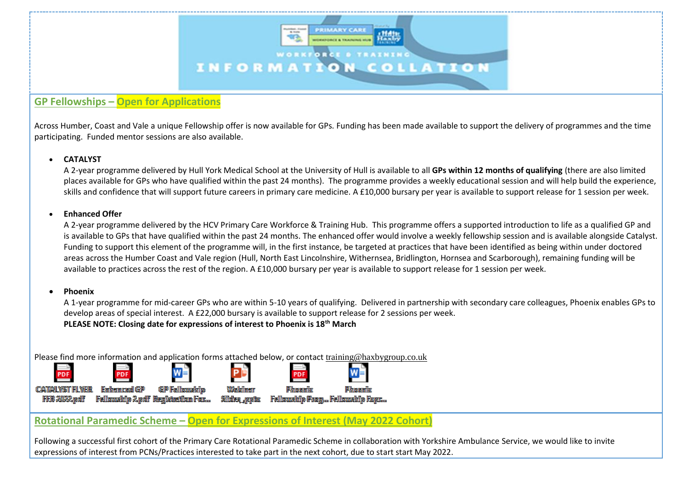

# **GP Fellowships – Open for Applications**

Across Humber, Coast and Vale a unique Fellowship offer is now available for GPs. Funding has been made available to support the delivery of programmes and the time participating. Funded mentor sessions are also available.

#### **CATALYST**

A 2-year programme delivered by Hull York Medical School at the University of Hull is available to all **GPs within 12 months of qualifying** (there are also limited places available for GPs who have qualified within the past 24 months). The programme provides a weekly educational session and will help build the experience, skills and confidence that will support future careers in primary care medicine. A £10,000 bursary per year is available to support release for 1 session per week.

#### **Enhanced Offer**

A 2-year programme delivered by the HCV Primary Care Workforce & Training Hub. This programme offers a supported introduction to life as a qualified GP and is available to GPs that have qualified within the past 24 months. The enhanced offer would involve a weekly fellowship session and is available alongside Catalyst. Funding to support this element of the programme will, in the first instance, be targeted at practices that have been identified as being within under doctored areas across the Humber Coast and Vale region (Hull, North East Lincolnshire, Withernsea, Bridlington, Hornsea and Scarborough), remaining funding will be available to practices across the rest of the region. A £10,000 bursary per year is available to support release for 1 session per week.

#### **Phoenix**

A 1-year programme for mid-career GPs who are within 5-10 years of qualifying. Delivered in partnership with secondary care colleagues, Phoenix enables GPs to develop areas of special interest. A £22,000 bursary is available to support release for 2 sessions per week. **PLEASE NOTE: Closing date for expressions of interest to Phoenix is 18th March**

Please find more information and application forms attached below, or contact [training@haxbygroup.co.uk](mailto:training@haxbygroup.co.uk)



## **Rotational Paramedic Scheme – Open for Expressions of Interest (May 2022 Cohort)**

Following a successful first cohort of the Primary Care Rotational Paramedic Scheme in collaboration with Yorkshire Ambulance Service, we would like to invite expressions of interest from PCNs/Practices interested to take part in the next cohort, due to start start May 2022.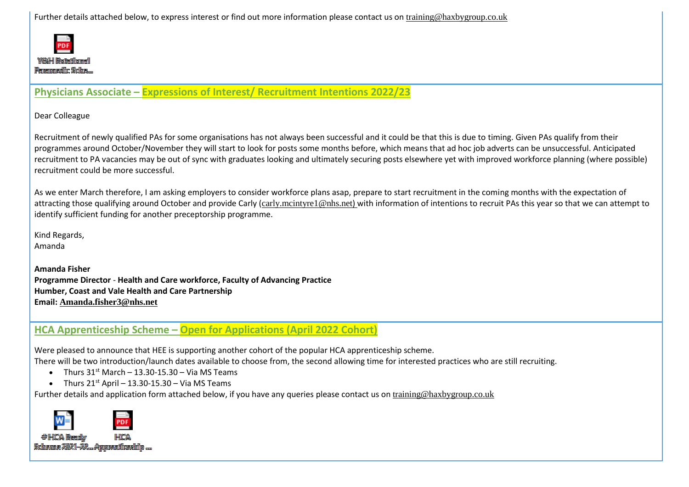Further details attached below, to express interest or find out more information please contact us on [training@haxbygroup.co.uk](mailto:training@haxbygroup.co.uk)



**Physicians Associate – Expressions of Interest/ Recruitment Intentions 2022/23**

Dear Colleague

Recruitment of newly qualified PAs for some organisations has not always been successful and it could be that this is due to timing. Given PAs qualify from their programmes around October/November they will start to look for posts some months before, which means that ad hoc job adverts can be unsuccessful. Anticipated recruitment to PA vacancies may be out of sync with graduates looking and ultimately securing posts elsewhere yet with improved workforce planning (where possible) recruitment could be more successful.

As we enter March therefore, I am asking employers to consider workforce plans asap, prepare to start recruitment in the coming months with the expectation of attracting those qualifying around October and provide Carly ([carly.mcintyre1@nhs.net](mailto:carly.mcintyre1@nhs.net)) with information of intentions to recruit PAs this year so that we can attempt to identify sufficient funding for another preceptorship programme.

Kind Regards, Amanda

**Amanda Fisher Programme Director** - **Health and Care workforce, Faculty of Advancing Practice Humber, Coast and Vale Health and Care Partnership Email: [Amanda.fisher3@nhs.net](mailto:Amanda.fisher3@nhs.net)**

**HCA Apprenticeship Scheme – Open for Applications (April 2022 Cohort)**

Were pleased to announce that HEE is supporting another cohort of the popular HCA apprenticeship scheme. There will be two introduction/launch dates available to choose from, the second allowing time for interested practices who are still recruiting.

- Thurs  $31^{st}$  March 13.30-15.30 Via MS Teams
- Thurs  $21^{st}$  April 13.30-15.30 Via MS Teams

Further details and application form attached below, if you have any queries please contact us on [training@haxbygroup.co.uk](mailto:training@haxbygroup.co.uk)

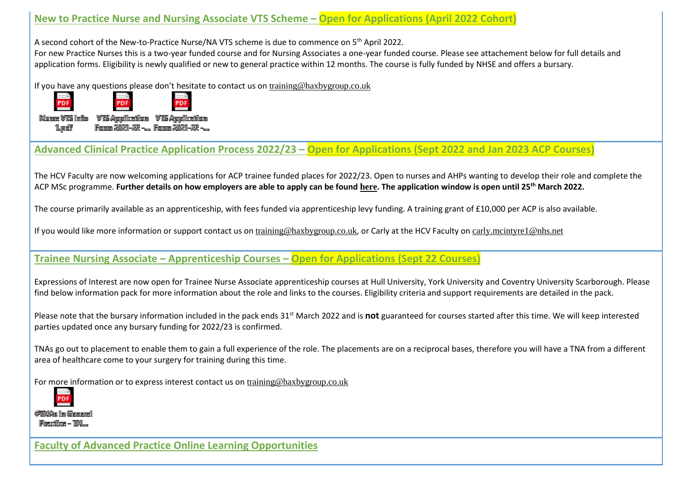# **New to Practice Nurse and Nursing Associate VTS Scheme – Open for Applications (April 2022 Cohort)**

A second cohort of the New-to-Practice Nurse/NA VTS scheme is due to commence on 5th April 2022.

For new Practice Nurses this is a two-year funded course and for Nursing Associates a one-year funded course. Please see attachement below for full details and application forms. Eligibility is newly qualified or new to general practice within 12 months. The course is fully funded by NHSE and offers a bursary.

If you have any questions please don't hesitate to contact us on [training@haxbygroup.co.uk](mailto:training@haxbygroup.co.uk)



Fann 2021-22 -... Fann 2021-22 -...

**Advanced Clinical Practice Application Process 2022/23 – Open for Applications (Sept 2022 and Jan 2023 ACP Courses)**

The HCV Faculty are now welcoming applications for ACP trainee funded places for 2022/23. Open to nurses and AHPs wanting to develop their role and complete the ACP MSc programme. **Further details on how employers are able to apply can be found [here](https://humbercoastandvale.org.uk/wp-content/uploads/2022/02/Correspondence-to-Employers-ACP-Apprenticeship-Route-Recruitment-21-22.pdf). The application window is open until 25th March 2022.**

The course primarily available as an apprenticeship, with fees funded via apprenticeship levy funding. A training grant of £10,000 per ACP is also available.

If you would like more information or support contact us on [training@haxbygroup.co.uk](mailto:training@haxbygroup.co.uk), or Carly at the HCV Faculty on [carly.mcintyre1@nhs.net](mailto:carly.mcintyre1@nhs.net)

# **Trainee Nursing Associate – Apprenticeship Courses – Open for Applications (Sept 22 Courses)**

Expressions of Interest are now open for Trainee Nurse Associate apprenticeship courses at Hull University, York University and Coventry University Scarborough. Please find below information pack for more information about the role and links to the courses. Eligibility criteria and support requirements are detailed in the pack.

Please note that the bursary information included in the pack ends 31st March 2022 and is **not** guaranteed for courses started after this time. We will keep interested parties updated once any bursary funding for 2022/23 is confirmed.

TNAs go out to placement to enable them to gain a full experience of the role. The placements are on a reciprocal bases, therefore you will have a TNA from a different area of healthcare come to your surgery for training during this time.

For more information or to express interest contact us on [training@haxbygroup.co.uk](mailto:training@haxbygroup.co.uk)

**#TINGs im Gement** Prection - TN...

1 Luzalit

**Faculty of Advanced Practice Online Learning Opportunities**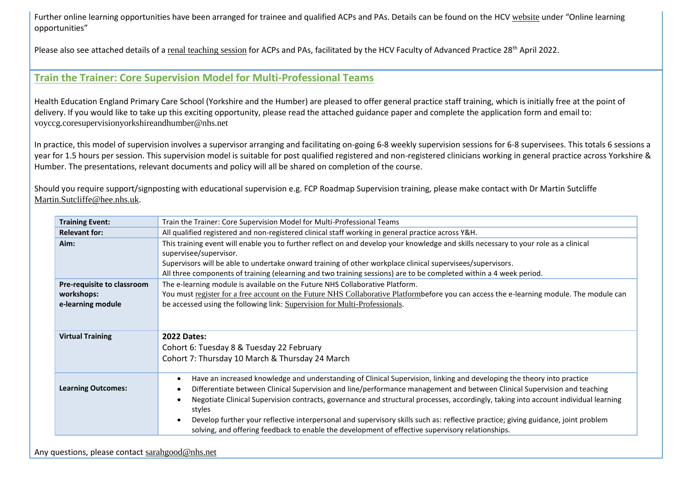Further online learning opportunities have been arranged for trainee and qualified ACPs and PAs. Details can be found on the HCV [website](https://humbercoastandvale.org.uk/advanced-clinical-practitioners/#Projects) under "Online learning opportunities"

Please also see attached details of a [renal teaching session](https://humbercoastandvale.org.uk/wp-content/uploads/2022/01/HCV-ACP-PA-Online-Teaching-Session-Renal-28.04.22.pdf) for ACPs and PAs, facilitated by the HCV Faculty of Advanced Practice 28<sup>th</sup> April 2022.

## **Train the Trainer: Core Supervision Model for Multi-Professional Teams**

Health Education England Primary Care School (Yorkshire and the Humber) are pleased to offer general practice staff training, which is initially free at the point of delivery. If you would like to take up this exciting opportunity, please read the attached guidance paper and complete the application form and email to: [voyccg.coresupervisionyorkshireandhumber@nhs.net](mailto:voyccg.coresupervisionyorkshireandhumber@nhs.net)

In practice, this model of supervision involves a supervisor arranging and facilitating on-going 6-8 weekly supervision sessions for 6-8 supervisees. This totals 6 sessions a year for 1.5 hours per session. This supervision model is suitable for post qualified registered and non-registered clinicians working in general practice across Yorkshire & Humber. The presentations, relevant documents and policy will all be shared on completion of the course.

Should you require support/signposting with educational supervision e.g. FCP Roadmap Supervision training, please make contact with Dr Martin Sutcliffe [Martin.Sutcliffe@hee.nhs.uk](mailto:Martin.Sutcliffe@hee.nhs.uk).

| <b>Training Event:</b>     | Train the Trainer: Core Supervision Model for Multi-Professional Teams                                                                                         |
|----------------------------|----------------------------------------------------------------------------------------------------------------------------------------------------------------|
| <b>Relevant for:</b>       | All qualified registered and non-registered clinical staff working in general practice across Y&H.                                                             |
| Aim:                       | This training event will enable you to further reflect on and develop your knowledge and skills necessary to your role as a clinical<br>supervisee/supervisor. |
|                            | Supervisors will be able to undertake onward training of other workplace clinical supervisees/supervisors.                                                     |
|                            | All three components of training (elearning and two training sessions) are to be completed within a 4 week period.                                             |
| Pre-requisite to classroom | The e-learning module is available on the Future NHS Collaborative Platform.                                                                                   |
| workshops:                 | You must register for a free account on the Future NHS Collaborative Platformbefore you can access the e-learning module. The module can                       |
| e-learning module          | be accessed using the following link: Supervision for Multi-Professionals.                                                                                     |
|                            |                                                                                                                                                                |
| <b>Virtual Training</b>    | <b>2022 Dates:</b>                                                                                                                                             |
|                            | Cohort 6: Tuesday 8 & Tuesday 22 February                                                                                                                      |
|                            | Cohort 7: Thursday 10 March & Thursday 24 March                                                                                                                |
|                            | Have an increased knowledge and understanding of Clinical Supervision, linking and developing the theory into practice                                         |
| <b>Learning Outcomes:</b>  | Differentiate between Clinical Supervision and line/performance management and between Clinical Supervision and teaching                                       |
|                            | Negotiate Clinical Supervision contracts, governance and structural processes, accordingly, taking into account individual learning<br>styles                  |
|                            | Develop further your reflective interpersonal and supervisory skills such as: reflective practice; giving guidance, joint problem                              |
|                            | solving, and offering feedback to enable the development of effective supervisory relationships.                                                               |

Any questions, please contact [sarahgood@nhs.net](mailto:sarahgood@nhs.net)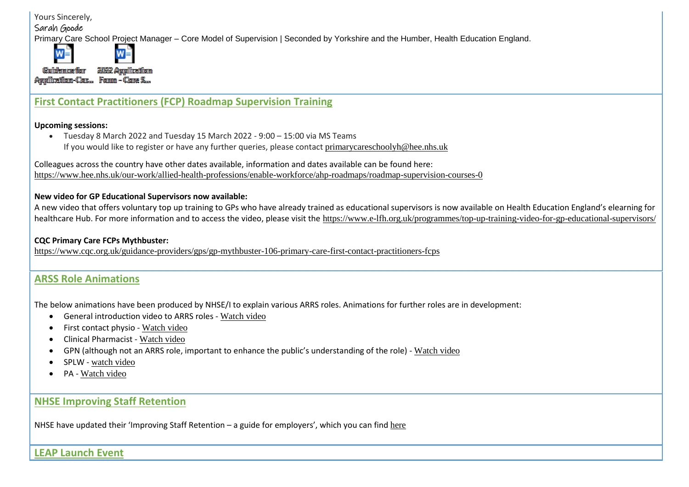Yours Sincerely,

Sarah Goode

W

Primary Care School Project Manager – Core Model of Supervision | Seconded by Yorkshire and the Humber, Health Education England.

Guidemorfor 2022 Application Anglization-Con. Form - Cone S.

 $\overline{w}$ 

# **First Contact Practitioners (FCP) Roadmap Supervision Training**

#### **Upcoming sessions:**

 Tuesday 8 March 2022 and Tuesday 15 March 2022 - 9:00 – 15:00 via MS Teams If you would like to register or have any further queries, please contact [primarycareschoolyh@hee.nhs.uk](mailto:primarycareschoolyh@hee.nhs.uk)

Colleagues across the country have other dates available, information and dates available can be found here: <https://www.hee.nhs.uk/our-work/allied-health-professions/enable-workforce/ahp-roadmaps/roadmap-supervision-courses-0>

#### **New video for GP Educational Supervisors now available:**

A new video that offers voluntary top up training to GPs who have already trained as educational supervisors is now available on Health Education England's elearning for healthcare Hub. For more information and to access the video, please visit the <https://www.e-lfh.org.uk/programmes/top-up-training-video-for-gp-educational-supervisors/>

### **CQC Primary Care FCPs Mythbuster:**

<https://www.cqc.org.uk/guidance-providers/gps/gp-mythbuster-106-primary-care-first-contact-practitioners-fcps>

# **ARSS Role Animations**

The below animations have been produced by NHSE/I to explain various ARRS roles. Animations for further roles are in development:

- General introduction video to ARRS roles [Watch video](https://protect-eu.mimecast.com/s/8eJeCwKv9iAl3RZcVBA8n?domain=youtube.com)
- First contact physio [Watch video](https://protect-eu.mimecast.com/s/e42CCx2wqu9EoQqsv02b1?domain=youtube.com)
- Clinical Pharmacist [Watch video](https://protect-eu.mimecast.com/s/M4YwCy9xlh0O5ymcQfehD?domain=youtube.com)
- GPN (although not an ARRS role, important to enhance the public's understanding of the role) [Watch video](https://protect-eu.mimecast.com/s/_48pCz7yPhxWomNfKDKxT?domain=youtube.com)
- SPLW [watch video](https://protect-eu.mimecast.com/s/3GK0CAMgqtnpA1JtQZr02?domain=youtube.com)
- PA [Watch video](https://protect-eu.mimecast.com/s/TTOHCBPjoIMW5lJF1ygv6?domain=youtube.com)

# **NHSE Improving Staff Retention**

NHSE have updated their 'Improving Staff Retention – a guide for employers', which you can find [here](https://www.england.nhs.uk/looking-after-our-people/)

**LEAP Launch Event**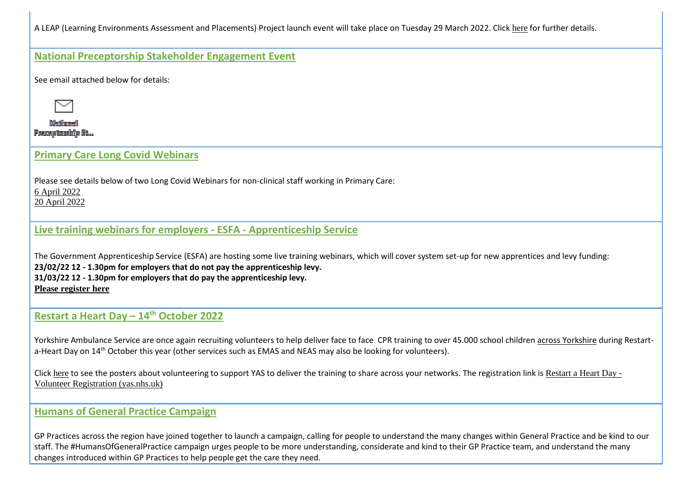A LEAP (Learning Environments Assessment and Placements) Project launch event will take place on Tuesday 29 March 2022. Click [here](https://humbercoastandvale.org.uk/wp-content/uploads/2022/02/LEAP-Launch-Event-Poster.pdf) for further details.

### **National Preceptorship Stakeholder Engagement Event**

See email attached below for details:



**Netfinancel** Preceptership St...

### **Primary Care Long Covid Webinars**

Please see details below of two Long Covid Webinars for non-clinical staff working in Primary Care: [6 April 2022](https://humbercoastandvale.org.uk/wp-content/uploads/2022/01/Long-Covid-Webinar-non-clinical-Flyer-NHSEI_.docx) [20 April 2022](https://humbercoastandvale.org.uk/wp-content/uploads/2022/01/Long-Covid-Webinar-.docx)

## **Live training webinars for employers - ESFA - Apprenticeship Service**

The Government Apprenticeship Service (ESFA) are hosting some live training webinars, which will cover system set-up for new apprentices and levy funding: **23/02/22 12 - 1.30pm for employers that do not pay the apprenticeship levy. 31/03/22 12 - 1.30pm for employers that do pay the apprenticeship levy. [Please register here](https://www.gotostage.com/channel/apprenticeshipservicewebinars?utm_source=engage&utm_medium=email&utm_campaign=AS-EM-FOM-220223-ManageApprenticeships-webinar.MA_EM_20220223_ManageApprenticeships_Webinar_TP_20220211_CTA&esfa_tok=4474541&mkt_tok=ODY4LU9UUC03NDAAAAGCiFLu0FCZGC2y1nmYPKEgRARnyuG8txmsska9NCRsBu0xqnB--g_uyEYTosM5AoFYLamOReSx7slTK4Fa3JijVLlkyxfN-pQ_VfxphT5E)**

# **Restart a Heart Day – 14th October 2022**

Yorkshire Ambulance Service are once again recruiting volunteers to help deliver face to face CPR training to over 45.000 school children across Yorkshire during Restarta-Heart Day on 14<sup>th</sup> October this year (other services such as EMAS and NEAS may also be looking for volunteers).

Click [here](https://humbercoastandvale.org.uk/wp-content/uploads/2022/03/Restart-a-Heart-Volunteer-Recruitment-Poster.pdf) to see the posters about volunteering to support YAS to deliver the training to share across your networks. The registration link is [Restart a Heart Day -](https://survey.yas.nhs.uk/s/RAH-Volunteer-Registration/) [Volunteer Registration \(yas.nhs.uk\)](https://survey.yas.nhs.uk/s/RAH-Volunteer-Registration/)

### **Humans of General Practice Campaign**

GP Practices across the region have joined together to launch a campaign, calling for people to understand the many changes within General Practice and be kind to our staff. The #HumansOfGeneralPractice campaign urges people to be more understanding, considerate and kind to their GP Practice team, and understand the many changes introduced within GP Practices to help people get the care they need.